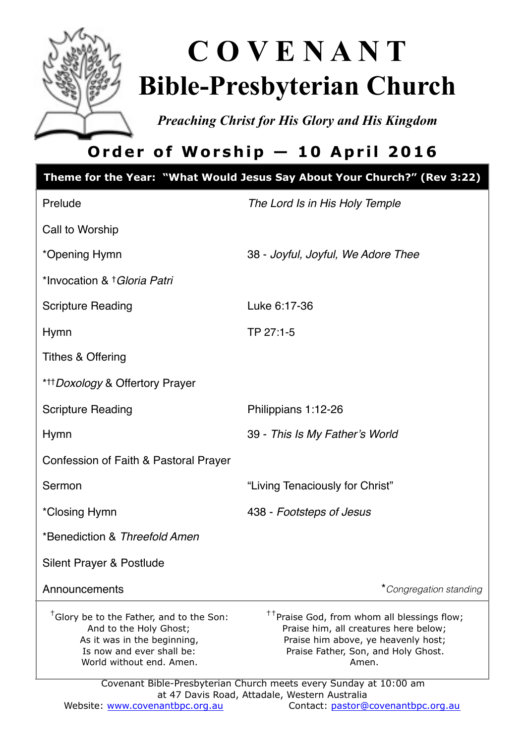

# **C O V E N A N T Bible-Presbyterian Church**

*Preaching Christ for His Glory and His Kingdom* 

# **Order of Worship — 10 April 2016**

|                                                                                                                                                                        | Theme for the Year: "What Would Jesus Say About Your Church?" (Rev 3:22)                                                                                                                                                                                     |  |
|------------------------------------------------------------------------------------------------------------------------------------------------------------------------|--------------------------------------------------------------------------------------------------------------------------------------------------------------------------------------------------------------------------------------------------------------|--|
| Prelude                                                                                                                                                                | The Lord Is in His Holy Temple                                                                                                                                                                                                                               |  |
| Call to Worship                                                                                                                                                        |                                                                                                                                                                                                                                                              |  |
| *Opening Hymn                                                                                                                                                          | 38 - Joyful, Joyful, We Adore Thee                                                                                                                                                                                                                           |  |
| *Invocation & † Gloria Patri                                                                                                                                           |                                                                                                                                                                                                                                                              |  |
| <b>Scripture Reading</b>                                                                                                                                               | Luke 6:17-36                                                                                                                                                                                                                                                 |  |
| <b>Hymn</b>                                                                                                                                                            | TP 27:1-5                                                                                                                                                                                                                                                    |  |
| <b>Tithes &amp; Offering</b>                                                                                                                                           |                                                                                                                                                                                                                                                              |  |
| * <sup>++</sup> Doxology & Offertory Prayer                                                                                                                            |                                                                                                                                                                                                                                                              |  |
| <b>Scripture Reading</b>                                                                                                                                               | Philippians 1:12-26                                                                                                                                                                                                                                          |  |
| <b>Hymn</b>                                                                                                                                                            | 39 - This Is My Father's World                                                                                                                                                                                                                               |  |
| Confession of Faith & Pastoral Prayer                                                                                                                                  |                                                                                                                                                                                                                                                              |  |
| Sermon                                                                                                                                                                 | "Living Tenaciously for Christ"                                                                                                                                                                                                                              |  |
| *Closing Hymn                                                                                                                                                          | 438 - Footsteps of Jesus                                                                                                                                                                                                                                     |  |
| *Benediction & Threefold Amen                                                                                                                                          |                                                                                                                                                                                                                                                              |  |
| Silent Prayer & Postlude                                                                                                                                               |                                                                                                                                                                                                                                                              |  |
| Announcements                                                                                                                                                          | *Congregation standing                                                                                                                                                                                                                                       |  |
| <sup>†</sup> Glory be to the Father, and to the Son:<br>And to the Holy Ghost;<br>As it was in the beginning,<br>Is now and ever shall be:<br>World without end. Amen. | <sup>††</sup> Praise God, from whom all blessings flow;<br>Praise him, all creatures here below;<br>Praise him above, ye heavenly host;<br>Praise Father, Son, and Holy Ghost.<br>Amen.<br>Covenant Bible-Presbyterian Church meets every Sunday at 10:00 am |  |
| at 47 Davis Road, Attadale, Western Australia                                                                                                                          |                                                                                                                                                                                                                                                              |  |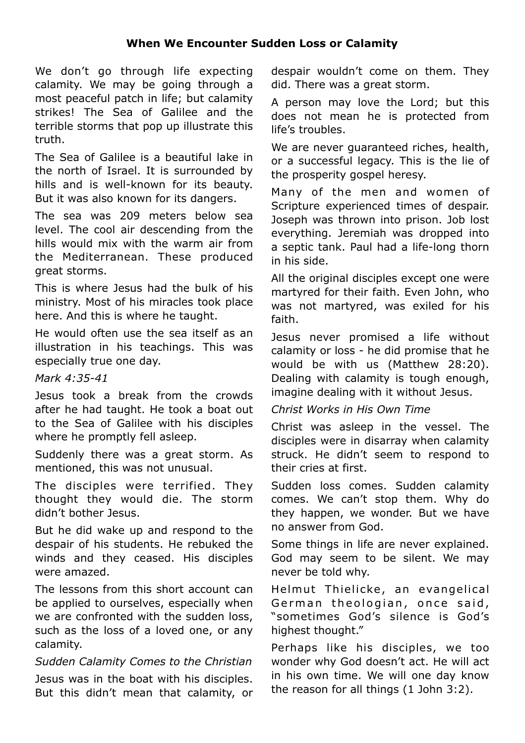#### **When We Encounter Sudden Loss or Calamity**

We don't go through life expecting calamity. We may be going through a most peaceful patch in life; but calamity strikes! The Sea of Galilee and the terrible storms that pop up illustrate this truth.

The Sea of Galilee is a beautiful lake in the north of Israel. It is surrounded by hills and is well-known for its beauty. But it was also known for its dangers.

The sea was 209 meters below sea level. The cool air descending from the hills would mix with the warm air from the Mediterranean. These produced great storms.

This is where Jesus had the bulk of his ministry. Most of his miracles took place here. And this is where he taught.

He would often use the sea itself as an illustration in his teachings. This was especially true one day.

#### *Mark 4:35-41*

Jesus took a break from the crowds after he had taught. He took a boat out to the Sea of Galilee with his disciples where he promptly fell asleep.

Suddenly there was a great storm. As mentioned, this was not unusual.

The disciples were terrified. They thought they would die. The storm didn't bother Jesus.

But he did wake up and respond to the despair of his students. He rebuked the winds and they ceased. His disciples were amazed.

The lessons from this short account can be applied to ourselves, especially when we are confronted with the sudden loss, such as the loss of a loved one, or any calamity.

#### *Sudden Calamity Comes to the Christian*

Jesus was in the boat with his disciples. But this didn't mean that calamity, or despair wouldn't come on them. They did. There was a great storm.

A person may love the Lord; but this does not mean he is protected from life's troubles.

We are never quaranteed riches, health, or a successful legacy. This is the lie of the prosperity gospel heresy.

Many of the men and women of Scripture experienced times of despair. Joseph was thrown into prison. Job lost everything. Jeremiah was dropped into a septic tank. Paul had a life-long thorn in his side.

All the original disciples except one were martyred for their faith. Even John, who was not martyred, was exiled for his faith.

Jesus never promised a life without calamity or loss - he did promise that he would be with us (Matthew 28:20). Dealing with calamity is tough enough, imagine dealing with it without Jesus.

#### *Christ Works in His Own Time*

Christ was asleep in the vessel. The disciples were in disarray when calamity struck. He didn't seem to respond to their cries at first.

Sudden loss comes. Sudden calamity comes. We can't stop them. Why do they happen, we wonder. But we have no answer from God.

Some things in life are never explained. God may seem to be silent. We may never be told why.

Helmut Thielicke, an evangelical German theologian, once said, "sometimes God's silence is God's highest thought."

Perhaps like his disciples, we too wonder why God doesn't act. He will act in his own time. We will one day know the reason for all things (1 John 3:2).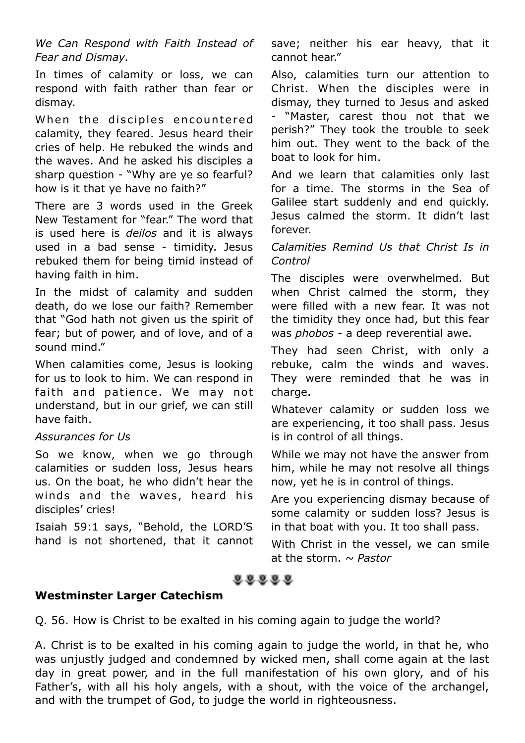*We Can Respond with Faith Instead of Fear and Dismay.* 

In times of calamity or loss, we can respond with faith rather than fear or dismay.

When the disciples encountered calamity, they feared. Jesus heard their cries of help. He rebuked the winds and the waves. And he asked his disciples a sharp question - "Why are ye so fearful? how is it that ye have no faith?"

There are 3 words used in the Greek New Testament for "fear." The word that is used here is *deilos* and it is always used in a bad sense - timidity. Jesus rebuked them for being timid instead of having faith in him.

In the midst of calamity and sudden death, do we lose our faith? Remember that "God hath not given us the spirit of fear; but of power, and of love, and of a sound mind."

When calamities come, Jesus is looking for us to look to him. We can respond in faith and patience. We may not understand, but in our grief, we can still have faith.

#### *Assurances for Us*

So we know, when we go through calamities or sudden loss, Jesus hears us. On the boat, he who didn't hear the winds and the waves, heard his disciples' cries!

Isaiah 59:1 says, "Behold, the LORD'S hand is not shortened, that it cannot save; neither his ear heavy, that it cannot hear."

Also, calamities turn our attention to Christ. When the disciples were in dismay, they turned to Jesus and asked - "Master, carest thou not that we perish?" They took the trouble to seek him out. They went to the back of the boat to look for him.

And we learn that calamities only last for a time. The storms in the Sea of Galilee start suddenly and end quickly. Jesus calmed the storm. It didn't last forever.

#### *Calamities Remind Us that Christ Is in Control*

The disciples were overwhelmed. But when Christ calmed the storm, they were filled with a new fear. It was not the timidity they once had, but this fear was *phobos -* a deep reverential awe.

They had seen Christ, with only a rebuke, calm the winds and waves. They were reminded that he was in charge.

Whatever calamity or sudden loss we are experiencing, it too shall pass. Jesus is in control of all things.

While we may not have the answer from him, while he may not resolve all things now, yet he is in control of things.

Are you experiencing dismay because of some calamity or sudden loss? Jesus is in that boat with you. It too shall pass.

With Christ in the vessel, we can smile at the storm. *~ Pastor*

# **COODS**

#### **Westminster Larger Catechism**

Q. 56. How is Christ to be exalted in his coming again to judge the world?

A. Christ is to be exalted in his coming again to judge the world, in that he, who was unjustly judged and condemned by wicked men, shall come again at the last day in great power, and in the full manifestation of his own glory, and of his Father's, with all his holy angels, with a shout, with the voice of the archangel, and with the trumpet of God, to judge the world in righteousness.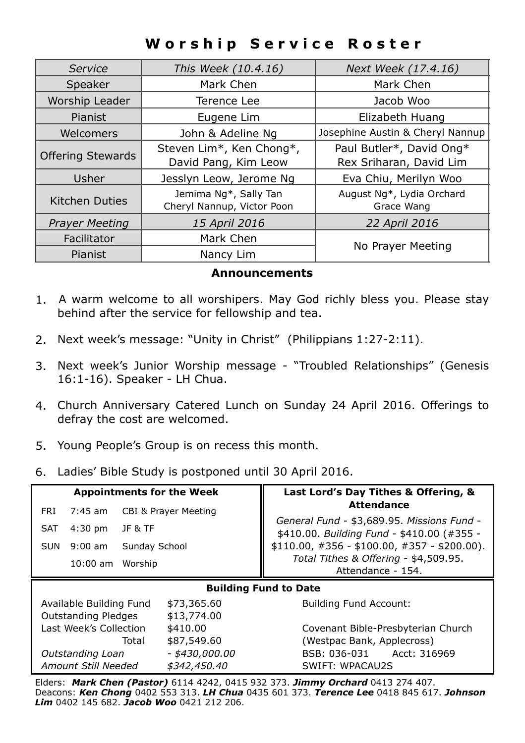# **Worship Service Roster**

| Service                  | This Week (10.4.16)                                 | Next Week (17.4.16)                                 |
|--------------------------|-----------------------------------------------------|-----------------------------------------------------|
| Speaker                  | Mark Chen                                           | Mark Chen                                           |
| Worship Leader           | Terence Lee                                         | Jacob Woo                                           |
| Pianist                  | Eugene Lim                                          | Elizabeth Huang                                     |
| Welcomers                | John & Adeline Ng                                   | Josephine Austin & Cheryl Nannup                    |
| <b>Offering Stewards</b> | Steven Lim*, Ken Chong*,<br>David Pang, Kim Leow    | Paul Butler*, David Ong*<br>Rex Sriharan, David Lim |
| Usher                    | Jesslyn Leow, Jerome Ng                             | Eva Chiu, Merilyn Woo                               |
| <b>Kitchen Duties</b>    | Jemima Ng*, Sally Tan<br>Cheryl Nannup, Victor Poon | August Ng*, Lydia Orchard<br>Grace Wang             |
| <b>Prayer Meeting</b>    | 15 April 2016                                       | 22 April 2016                                       |
| Facilitator              | Mark Chen                                           | No Prayer Meeting                                   |
| <b>Pianist</b>           | Nancy Lim                                           |                                                     |

#### **Announcements**

- 1. A warm welcome to all worshipers. May God richly bless you. Please stay behind after the service for fellowship and tea.
- 2. Next week's message: "Unity in Christ" (Philippians 1:27-2:11).
- 3. Next week's Junior Worship message "Troubled Relationships" (Genesis 16:1-16). Speaker - LH Chua.
- 4. Church Anniversary Catered Lunch on Sunday 24 April 2016. Offerings to defray the cost are welcomed.
- 5. Young People's Group is on recess this month.
- 6. Ladies' Bible Study is postponed until 30 April 2016.

| <b>Appointments for the Week</b> |                                 | Last Lord's Day Tithes & Offering, &                                                     |  |  |
|----------------------------------|---------------------------------|------------------------------------------------------------------------------------------|--|--|
| $7:45$ am<br>FRI                 | <b>CBI &amp; Prayer Meeting</b> | <b>Attendance</b>                                                                        |  |  |
| <b>SAT</b><br>$4:30$ pm          | JF & TF                         | General Fund - \$3,689.95. Missions Fund -<br>\$410.00. Building Fund - \$410.00 (#355 - |  |  |
| $9:00$ am<br><b>SUN</b>          | Sunday School                   | $$110.00, #356 - $100.00, #357 - $200.00).$                                              |  |  |
| $10:00$ am                       | Worship                         | Total Tithes & Offering - \$4,509.95.<br>Attendance - 154.                               |  |  |
| <b>Building Fund to Date</b>     |                                 |                                                                                          |  |  |
|                                  |                                 |                                                                                          |  |  |
| Available Building Fund          | \$73,365,60                     | <b>Building Fund Account:</b>                                                            |  |  |
| <b>Outstanding Pledges</b>       | \$13,774.00                     |                                                                                          |  |  |
| Last Week's Collection           | \$410.00                        | Covenant Bible-Presbyterian Church                                                       |  |  |
|                                  | \$87,549.60<br>Total            | (Westpac Bank, Applecross)                                                               |  |  |
| Outstanding Loan                 | $-$ \$430,000.00                | BSB: 036-031<br>Acct: 316969                                                             |  |  |

Elders: *Mark Chen (Pastor)* 6114 4242, 0415 932 373. *Jimmy Orchard* 0413 274 407. Deacons: *Ken Chong* 0402 553 313. *LH Chua* 0435 601 373. *Terence Lee* 0418 845 617. *Johnson Lim* 0402 145 682. *Jacob Woo* 0421 212 206.